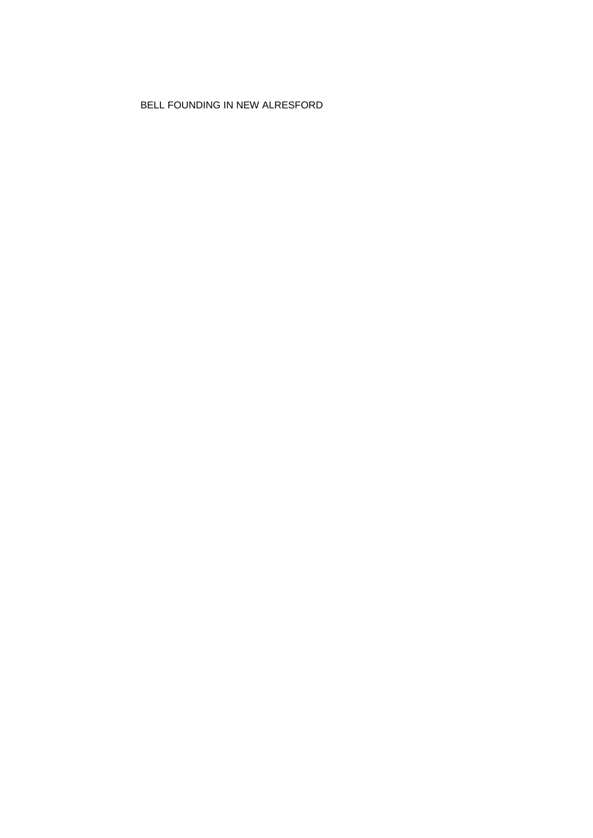BELL FOUNDING IN NEW ALRESFORD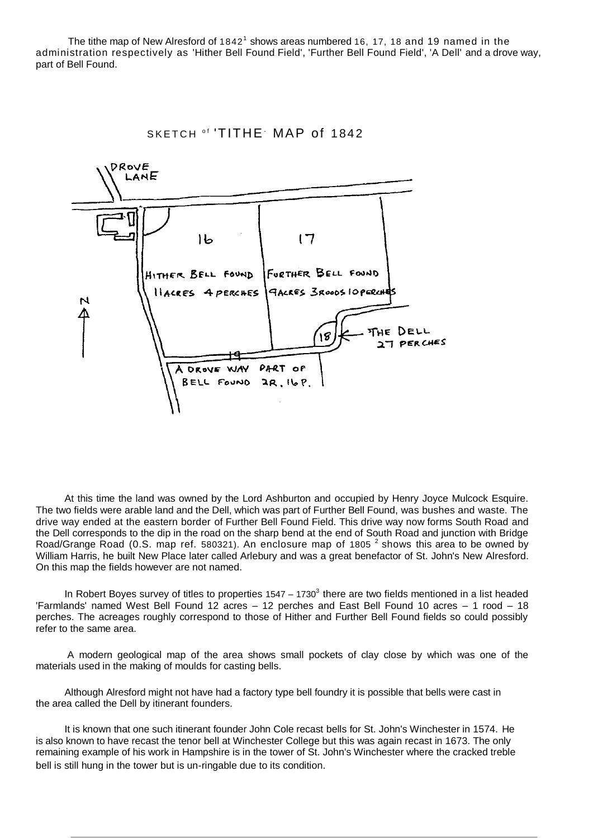The tithe map of New Alresford of  $1842<sup>1</sup>$  shows areas numbered 16, 17, 18 and 19 named in the administration respectively as 'Hither Bell Found Field', 'Further Bell Found Field', 'A Dell' and a drove way, part of Bell Found.



At this time the land was owned by the Lord Ashburton and occupied by Henry Joyce Mulcock Esquire. The two fields were arable land and the Dell, which was part of Further Bell Found, was bushes and waste. The drive way ended at the eastern border of Further Bell Found Field. This drive way now forms South Road and the Dell corresponds to the dip in the road on the sharp bend at the end of South Road and junction with Bridge Road/Grange Road (0.S. map ref. 580321). An enclosure map of 1805  $^2$  shows this area to be owned by William Harris, he built New Place later called Arlebury and was a great benefactor of St. John's New Alresford. On this map the fields however are not named.

In Robert Boyes survey of titles to properties  $1547 - 1730<sup>3</sup>$  there are two fields mentioned in a list headed 'Farmlands' named West Bell Found 12 acres – 12 perches and East Bell Found 10 acres – 1 rood – 18 perches. The acreages roughly correspond to those of Hither and Further Bell Found fields so could possibly refer to the same area.

A modern geological map of the area shows small pockets of clay close by which was one of the materials used in the making of moulds for casting bells.

Although Alresford might not have had a factory type bell foundry it is possible that bells were cast in the area called the Dell by itinerant founders.

It is known that one such itinerant founder John Cole recast bells for St. John's Winchester in 1574. He is also known to have recast the tenor bell at Winchester College but this was again recast in 1673. The only remaining example of his work in Hampshire is in the tower of St. John's Winchester where the cracked treble bell is still hung in the tower but is un-ringable due to its condition.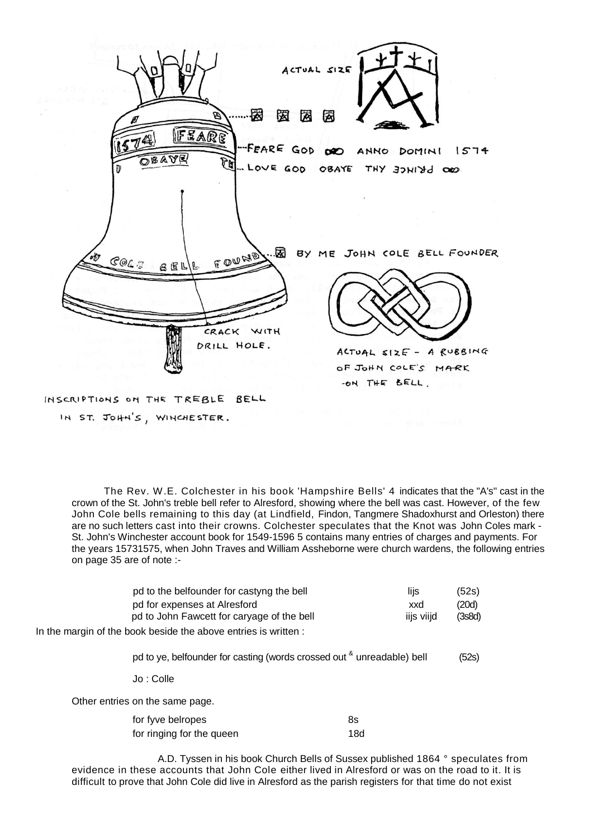

The Rev. W.E. Colchester in his book 'Hampshire Bells' 4 indicates that the "A's" cast in the crown of the St. John's treble bell refer to Alresford, showing where the bell was cast. However, of the few John Cole bells remaining to this day (at Lindfield, Findon, Tangmere Shadoxhurst and Orleston) there are no such letters cast into their crowns. Colchester speculates that the Knot was John Coles mark - St. John's Winchester account book for 1549-1596 5 contains many entries of charges and payments. For the years 15731575, when John Traves and William Assheborne were church wardens, the following entries on page 35 are of note :-

|                                                                                       | pd to the belfounder for castyng the bell<br>pd for expenses at Alresford<br>pd to John Fawcett for caryage of the bell |     | lijs<br>xxd<br>iijs viijd | (52s)<br>(20d)<br>(3s8d) |
|---------------------------------------------------------------------------------------|-------------------------------------------------------------------------------------------------------------------------|-----|---------------------------|--------------------------|
| In the margin of the book beside the above entries is written :                       |                                                                                                                         |     |                           |                          |
| pd to ye, belfounder for casting (words crossed out <sup>&amp;</sup> unreadable) bell |                                                                                                                         |     | (52s)                     |                          |
|                                                                                       | Jo : Colle                                                                                                              |     |                           |                          |
| Other entries on the same page.                                                       |                                                                                                                         |     |                           |                          |
|                                                                                       | for fyve belropes                                                                                                       | 8s  |                           |                          |
|                                                                                       | for ringing for the queen                                                                                               | 18d |                           |                          |

A.D. Tyssen in his book Church Bells of Sussex published 1864 ° speculates from evidence in these accounts that John Cole either lived in Alresford or was on the road to it. It is difficult to prove that John Cole did live in Alresford as the parish registers for that time do not exist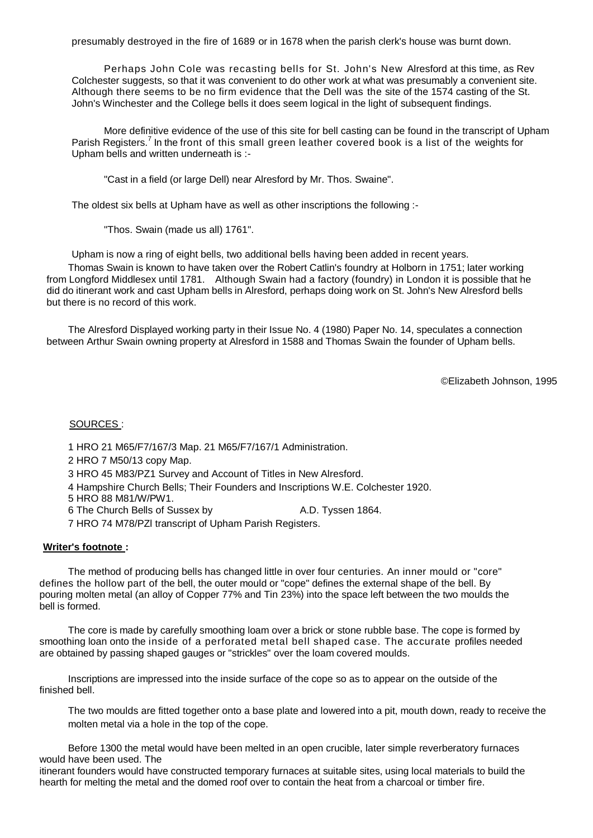presumably destroyed in the fire of 1689 or in 1678 when the parish clerk's house was burnt down.

Perhaps John Cole was recasting bells for St. John's New Alresford at this time, as Rev Colchester suggests, so that it was convenient to do other work at what was presumably a convenient site. Although there seems to be no firm evidence that the Dell was the site of the 1574 casting of the St. John's Winchester and the College bells it does seem logical in the light of subsequent findings.

More definitive evidence of the use of this site for bell casting can be found in the transcript of Upham Parish Registers.<sup>7</sup> In the front of this small green leather covered book is a list of the weights for Upham bells and written underneath is :-

"Cast in a field (or large Dell) near Alresford by Mr. Thos. Swaine".

The oldest six bells at Upham have as well as other inscriptions the following :-

"Thos. Swain (made us all) 1761".

Upham is now a ring of eight bells, two additional bells having been added in recent years.

Thomas Swain is known to have taken over the Robert Catlin's foundry at Holborn in 1751; later working from Longford Middlesex until 1781. Although Swain had a factory (foundry) in London it is possible that he did do itinerant work and cast Upham bells in Alresford, perhaps doing work on St. John's New Alresford bells but there is no record of this work.

The Alresford Displayed working party in their Issue No. 4 (1980) Paper No. 14, speculates a connection between Arthur Swain owning property at Alresford in 1588 and Thomas Swain the founder of Upham bells.

©Elizabeth Johnson, 1995

## SOURCES :

- 1 HRO 21 M65/F7/167/3 Map. 21 M65/F7/167/1 Administration.
- 2 HRO 7 M50/13 copy Map.
- 3 HRO 45 M83/PZ1 Survey and Account of Titles in New Alresford.
- 4 Hampshire Church Bells; Their Founders and Inscriptions W.E. Colchester 1920.
- 5 HRO 88 M81/W/PW1.
- 6 The Church Bells of Sussex by A.D. Tyssen 1864.
- 7 HRO 74 M78/PZl transcript of Upham Parish Registers.

## **Writer's footnote :**

The method of producing bells has changed little in over four centuries. An inner mould or "core" defines the hollow part of the bell, the outer mould or "cope" defines the external shape of the bell. By pouring molten metal (an alloy of Copper 77% and Tin 23%) into the space left between the two moulds the bell is formed.

The core is made by carefully smoothing loam over a brick or stone rubble base. The cope is formed by smoothing loan onto the inside of a perforated metal bell shaped case. The accurate profiles needed are obtained by passing shaped gauges or "strickles" over the loam covered moulds.

Inscriptions are impressed into the inside surface of the cope so as to appear on the outside of the finished bell.

The two moulds are fitted together onto a base plate and lowered into a pit, mouth down, ready to receive the molten metal via a hole in the top of the cope.

Before 1300 the metal would have been melted in an open crucible, later simple reverberatory furnaces would have been used. The

itinerant founders would have constructed temporary furnaces at suitable sites, using local materials to build the hearth for melting the metal and the domed roof over to contain the heat from a charcoal or timber fire.